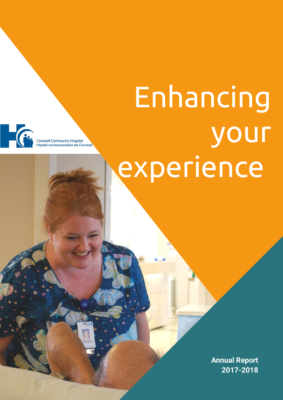# Enhancing your experience



pital communautaire de Cornwall

**Annual Report 2017-2018**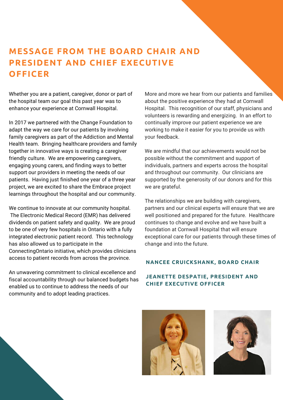### **MESSAGE FROM THE BOARD CHAIR AND PRESIDENT AND CHIEF EXECUTIVE OFFICER**

Whether you are a patient, caregiver, donor or part of the hospital team our goal this past year was to enhance your experience at Cornwall Hospital.

In 2017 we partnered with the Change Foundation to adapt the way we care for our patients by involving family caregivers as part of the Addiction and Mental Health team. Bringing healthcare providers and family together in innovative ways is creating a caregiver friendly culture. We are empowering caregivers, engaging young carers, and finding ways to better support our providers in meeting the needs of our patients. Having just finished one year of a three year project, we are excited to share the Embrace project learnings throughout the hospital and our community.

We continue to innovate at our community hospital. The Electronic Medical Record (EMR) has delivered dividends on patient safety and quality. We are proud to be one of very few hospitals in Ontario with a fully integrated electronic patient record. This technology has also allowed us to participate in the ConnectingOntario initiative, which provides clinicians access to patient records from across the province.

An unwavering commitment to clinical excellence and fiscal accountability through our balanced budgets has enabled us to continue to address the needs of our community and to adopt leading practices.

More and more we hear from our patients and families about the positive experience they had at Cornwall Hospital. This recognition of our staff, physicians and volunteers is rewarding and energizing. In an effort to continually improve our patient experience we are working to make it easier for you to provide us with your feedback.

We are mindful that our achievements would not be possible without the commitment and support of individuals, partners and experts across the hospital and throughout our community. Our clinicians are supported by the generosity of our donors and for this we are grateful.

The relationships we are building with caregivers, partners and our clinical experts will ensure that we are well positioned and prepared for the future. Healthcare continues to change and evolve and we have built a foundation at Cornwall Hospital that will ensure exceptional care for our patients through these times of change and into the future.

#### **NANCEE CRUICKSHANK, BOARD CHAIR**

#### **JEANETTE DESPATIE, PRESIDENT AND CHIEF EXECUTIVE OFFICER**



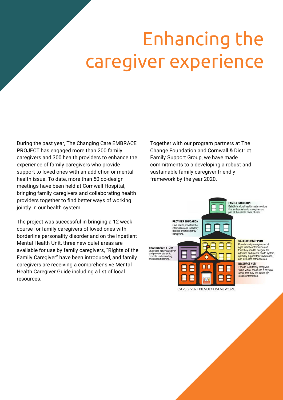# Enhancing the caregiver experience

During the past year, The Changing Care EMBRACE PROJECT has engaged more than 200 family caregivers and 300 health providers to enhance the experience of family caregivers who provide support to loved ones with an addiction or mental health issue. To date, more than 50 co-design meetings have been held at Cornwall Hospital, bringing family caregivers and collaborating health providers together to find better ways of working jointly in our health system.

The project was successful in bringing a 12 week course for family caregivers of loved ones with borderline personality disorder and on the Inpatient Mental Health Unit, three new quiet areas are available for use by family caregivers, "Rights of the Family Caregiver" have been introduced, and family caregivers are receiving a comprehensive Mental Health Caregiver Guide including a list of local resources.

Together with our program partners at The Change Foundation and Cornwall & District Family Support Group, we have made commitments to a developing a robust and sustainable family caregiver friendly framework by the year 2020.

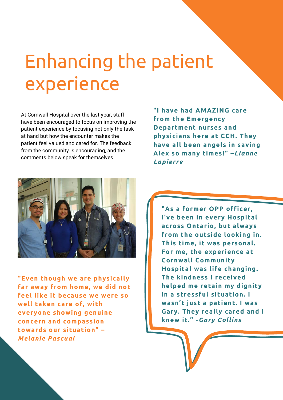# Enhancing the patient experience

At Cornwall Hospital over the last year, staff have been encouraged to focus on improving the patient experience by focusing not only the task at hand but how the encounter makes the patient feel valued and cared for. The feedback from the community is encouraging, and the comments below speak for themselves.



**"Even though we are physically far away from home, we did not feel like it because we were so well taken care of, with everyone showing genuine concern and compassion towards our situation" –** *Melanie Pascual*

**"I have had AMAZING care from the Emergency Department nurses and physicians here at CCH. They have all been angels in saving Alex so many times!" –***Lianne Lapierre*

**"As a former OPP officer, I've been in every Hospital across Ontario, but always from the outside looking in. This time, it was personal. For me, the experience at Cornwall Community Hospital was life changing. The kindness I received helped me retain my dignity in a stressful situation. I wasn't just a patient. I was Gary. They really cared and I knew it."** *-Gary Collins*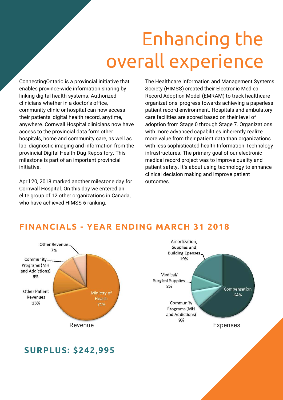# Enhancing the overall experience

ConnectingOntario is a provincial initiative that enables province-wide information sharing by linking digital health systems. Authorized clinicians whether in a doctor's office, community clinic or hospital can now access their patients' digital health record, anytime, anywhere. Cornwall Hospital clinicians now have access to the provincial data form other hospitals, home and community care, as well as lab, diagnostic imaging and information from the provincial Digital Health Dug Repository. This milestone is part of an important provincial initiative.

April 20, 2018 marked another milestone day for Cornwall Hospital. On this day we entered an elite group of 12 other organizations in Canada, who have achieved HIMSS 6 ranking.

The Healthcare Information and Management Systems Society (HIMSS) created their Electronic Medical Record Adoption Model (EMRAM) to track healthcare organizations' progress towards achieving a paperless patient record environment. Hospitals and ambulatory care facilities are scored based on their level of adoption from Stage 0 through Stage 7. Organizations with more advanced capabilities inherently realize more value from their patient data than organizations with less sophisticated health Information Technology infrastructures. The primary goal of our electronic medical record project was to improve quality and patient safety. It's about using technology to enhance clinical decision making and improve patient outcomes.

### Other Revenue 7% Community. Programs (MH and Addictions) 9% **Other Patient** Ministry of Revenues Health 13% 71%



### **FINANCIALS - YEAR ENDING MARCH 31 2018**

### **SURPLUS: \$242,995**